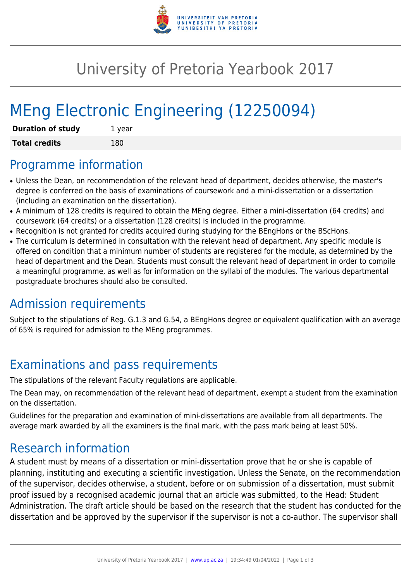

## University of Pretoria Yearbook 2017

# MEng Electronic Engineering (12250094)

| <b>Duration of study</b> | 1 year |
|--------------------------|--------|
| <b>Total credits</b>     | 180    |

#### Programme information

- Unless the Dean, on recommendation of the relevant head of department, decides otherwise, the master's degree is conferred on the basis of examinations of coursework and a mini-dissertation or a dissertation (including an examination on the dissertation).
- A minimum of 128 credits is required to obtain the MEng degree. Either a mini-dissertation (64 credits) and coursework (64 credits) or a dissertation (128 credits) is included in the programme.
- Recognition is not granted for credits acquired during studying for the BEngHons or the BScHons.
- The curriculum is determined in consultation with the relevant head of department. Any specific module is offered on condition that a minimum number of students are registered for the module, as determined by the head of department and the Dean. Students must consult the relevant head of department in order to compile a meaningful programme, as well as for information on the syllabi of the modules. The various departmental postgraduate brochures should also be consulted.

### Admission requirements

Subject to the stipulations of Reg. G.1.3 and G.54, a BEngHons degree or equivalent qualification with an average of 65% is required for admission to the MEng programmes.

### Examinations and pass requirements

The stipulations of the relevant Faculty regulations are applicable.

The Dean may, on recommendation of the relevant head of department, exempt a student from the examination on the dissertation.

Guidelines for the preparation and examination of mini-dissertations are available from all departments. The average mark awarded by all the examiners is the final mark, with the pass mark being at least 50%.

#### Research information

A student must by means of a dissertation or mini-dissertation prove that he or she is capable of planning, instituting and executing a scientific investigation. Unless the Senate, on the recommendation of the supervisor, decides otherwise, a student, before or on submission of a dissertation, must submit proof issued by a recognised academic journal that an article was submitted, to the Head: Student Administration. The draft article should be based on the research that the student has conducted for the dissertation and be approved by the supervisor if the supervisor is not a co-author. The supervisor shall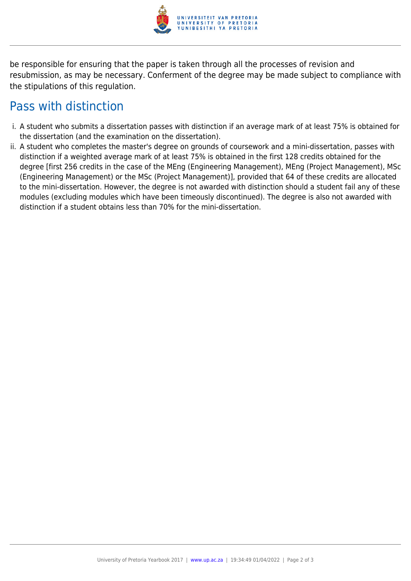

be responsible for ensuring that the paper is taken through all the processes of revision and resubmission, as may be necessary. Conferment of the degree may be made subject to compliance with the stipulations of this regulation.

#### Pass with distinction

- i. A student who submits a dissertation passes with distinction if an average mark of at least 75% is obtained for the dissertation (and the examination on the dissertation).
- ii. A student who completes the master's degree on grounds of coursework and a mini-dissertation, passes with distinction if a weighted average mark of at least 75% is obtained in the first 128 credits obtained for the degree [first 256 credits in the case of the MEng (Engineering Management), MEng (Project Management), MSc (Engineering Management) or the MSc (Project Management)], provided that 64 of these credits are allocated to the mini-dissertation. However, the degree is not awarded with distinction should a student fail any of these modules (excluding modules which have been timeously discontinued). The degree is also not awarded with distinction if a student obtains less than 70% for the mini-dissertation.